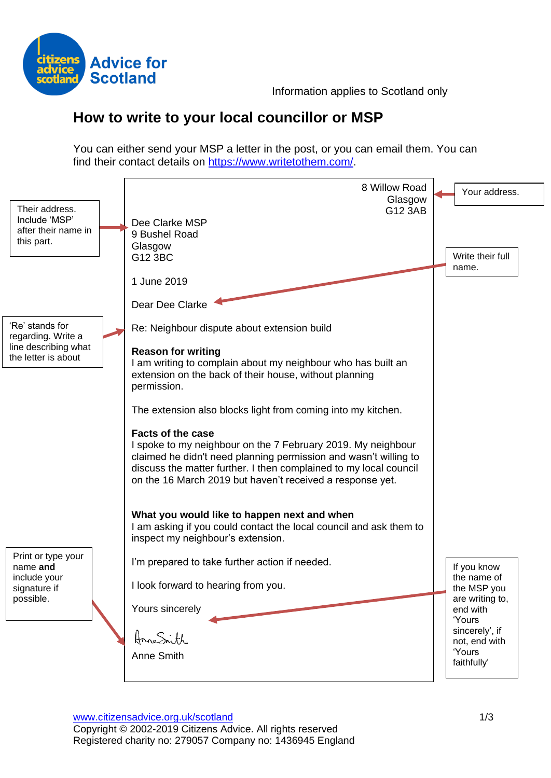

# **How to write to your local councillor or MSP**

You can either send your MSP a letter in the post, or you can email them. You can find their contact details on [https://www.writetothem.com/.](https://www.writetothem.com/)

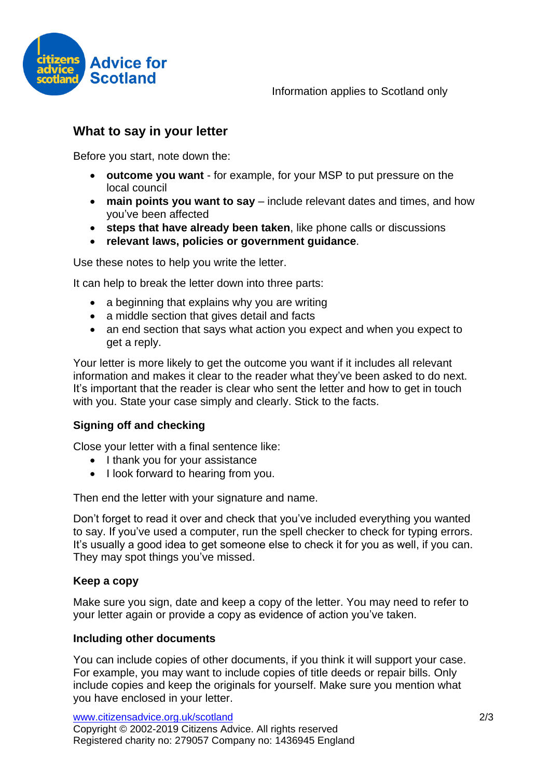

## **What to say in your letter**

Before you start, note down the:

- **outcome you want** for example, for your MSP to put pressure on the local council
- **main points you want to say** include relevant dates and times, and how you've been affected
- **steps that have already been taken**, like phone calls or discussions
- **relevant laws, policies or government guidance**.

Use these notes to help you write the letter.

It can help to break the letter down into three parts:

- a beginning that explains why you are writing
- a middle section that gives detail and facts
- an end section that says what action you expect and when you expect to get a reply.

Your letter is more likely to get the outcome you want if it includes all relevant information and makes it clear to the reader what they've been asked to do next. It's important that the reader is clear who sent the letter and how to get in touch with you. State your case simply and clearly. Stick to the facts.

#### **Signing off and checking**

Close your letter with a final sentence like:

- I thank you for your assistance
- I look forward to hearing from you.

Then end the letter with your signature and name.

Don't forget to read it over and check that you've included everything you wanted to say. If you've used a computer, run the spell checker to check for typing errors. It's usually a good idea to get someone else to check it for you as well, if you can. They may spot things you've missed.

#### **Keep a copy**

Make sure you sign, date and keep a copy of the letter. You may need to refer to your letter again or provide a copy as evidence of action you've taken.

#### **Including other documents**

You can include copies of other documents, if you think it will support your case. For example, you may want to include copies of title deeds or repair bills. Only include copies and keep the originals for yourself. Make sure you mention what you have enclosed in your letter.

www.citizensadvice.org.uk/scotland 2/3